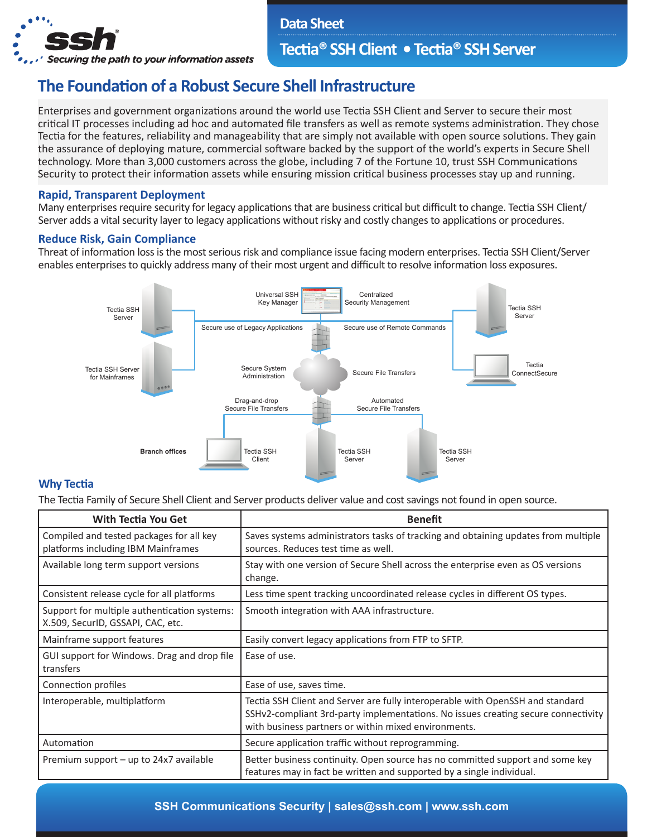

**Data Sheet**

## **Tectia® SSH Client • Tectia® SSH Server**

# **The Foundation of a Robust Secure Shell Infrastructure**

Enterprises and government organizations around the world use Tectia SSH Client and Server to secure their most critical IT processes including ad hoc and automated file transfers as well as remote systems administration. They chose Tectia for the features, reliability and manageability that are simply not available with open source solutions. They gain the assurance of deploying mature, commercial software backed by the support of the world's experts in Secure Shell technology. More than 3,000 customers across the globe, including 7 of the Fortune 10, trust SSH Communications Security to protect their information assets while ensuring mission critical business processes stay up and running.

### **Rapid, Transparent Deployment**

Many enterprises require security for legacy applications that are business critical but difficult to change. Tectia SSH Client/ Server adds a vital security layer to legacy applications without risky and costly changes to applications or procedures.

#### **Reduce Risk, Gain Compliance**

Threat of information loss is the most serious risk and compliance issue facing modern enterprises. Tectia SSH Client/Server enables enterprises to quickly address many of their most urgent and difficult to resolve information loss exposures.



#### **Why Tectia**

The Tectia Family of Secure Shell Client and Server products deliver value and cost savings not found in open source.

| <b>With Tectia You Get</b>                                                        | <b>Benefit</b>                                                                                                                                                                                                              |
|-----------------------------------------------------------------------------------|-----------------------------------------------------------------------------------------------------------------------------------------------------------------------------------------------------------------------------|
| Compiled and tested packages for all key<br>platforms including IBM Mainframes    | Saves systems administrators tasks of tracking and obtaining updates from multiple<br>sources. Reduces test time as well.                                                                                                   |
| Available long term support versions                                              | Stay with one version of Secure Shell across the enterprise even as OS versions<br>change.                                                                                                                                  |
| Consistent release cycle for all platforms                                        | Less time spent tracking uncoordinated release cycles in different OS types.                                                                                                                                                |
| Support for multiple authentication systems:<br>X.509, SecurID, GSSAPI, CAC, etc. | Smooth integration with AAA infrastructure.                                                                                                                                                                                 |
| Mainframe support features                                                        | Easily convert legacy applications from FTP to SFTP.                                                                                                                                                                        |
| GUI support for Windows. Drag and drop file<br>transfers                          | Ease of use.                                                                                                                                                                                                                |
| Connection profiles                                                               | Ease of use, saves time.                                                                                                                                                                                                    |
| Interoperable, multiplatform                                                      | Tectia SSH Client and Server are fully interoperable with OpenSSH and standard<br>SSHv2-compliant 3rd-party implementations. No issues creating secure connectivity<br>with business partners or within mixed environments. |
| Automation                                                                        | Secure application traffic without reprogramming.                                                                                                                                                                           |
| Premium support - up to 24x7 available                                            | Better business continuity. Open source has no committed support and some key<br>features may in fact be written and supported by a single individual.                                                                      |

## **SSH Communications Security | sales@ssh.com | www.ssh.com**